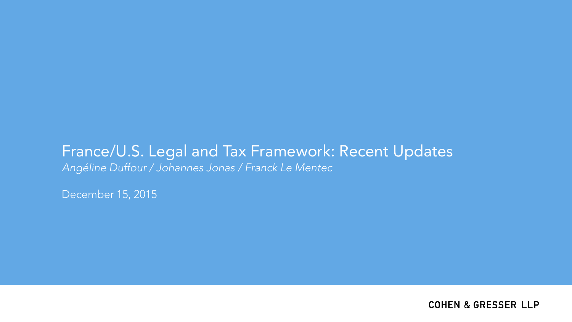# France/U.S. Legal and Tax Framework: Recent Updates *Angéline Duffour / Johannes Jonas / Franck Le Mentec*

December 15, 2015

**COHEN & GRESSER LLP**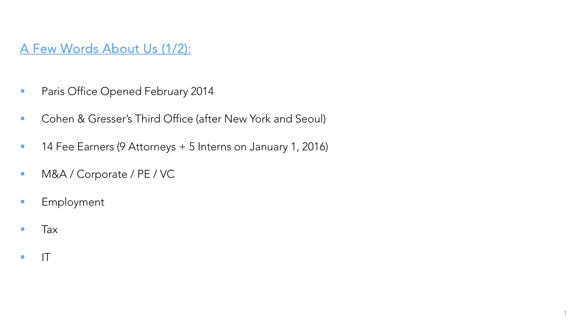## A Few Words About Us (1/2):

- **Paris Office Opened February 2014**
- **Cohen & Gresser's Third Office (after New York and Seoul)**
- 14 Fee Earners (9 Attorneys + 5 Interns on January 1, 2016)
- **M&A / Corporate / PE / VC**
- **Employment**
- **Tax**
- $\blacksquare$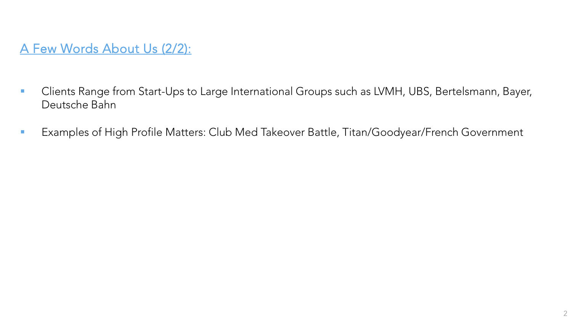# A Few Words About Us (2/2):

- **Clients Range from Start-Ups to Large International Groups such as LVMH, UBS, Bertelsmann, Bayer,** Deutsche Bahn
- **EXamples of High Profile Matters: Club Med Takeover Battle, Titan/Goodyear/French Government**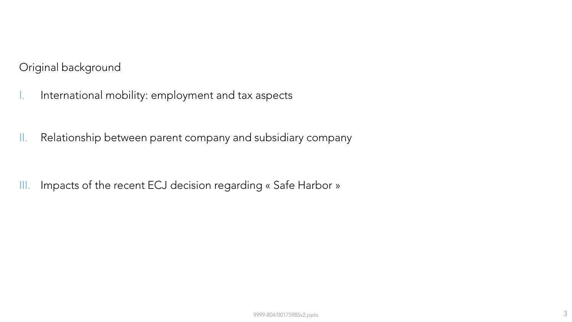Original background

- I. International mobility: employment and tax aspects
- II. Relationship between parent company and subsidiary company

III. Impacts of the recent ECJ decision regarding « Safe Harbor »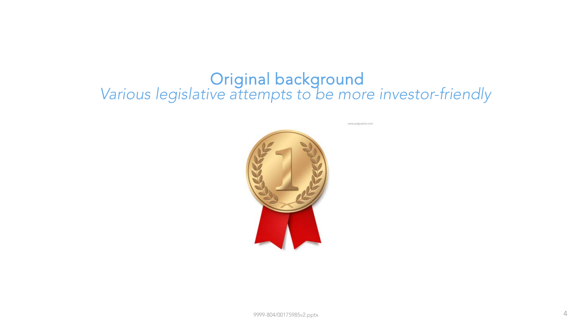# **Various** legislative attempts to be more investor-friendly

www.psdgraphics.com

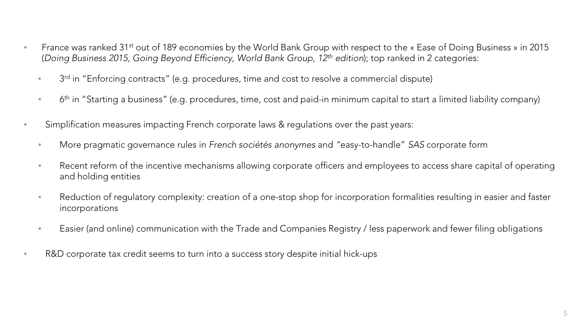- France was ranked 31<sup>st</sup> out of 189 economies by the World Bank Group with respect to the « Ease of Doing Business » in 2015 (*Doing Business 2015, Going Beyond Efficiency, World Bank Group, 12th edition*); top ranked in 2 categories:
	- 3<sup>rd</sup> in "Enforcing contracts" (e.g. procedures, time and cost to resolve a commercial dispute)
	- $\bullet$  6<sup>th</sup> in "Starting a business" (e.g. procedures, time, cost and paid-in minimum capital to start a limited liability company)
- Simplification measures impacting French corporate laws & regulations over the past years:
	- More pragmatic governance rules in *French sociétés anonymes* and *"*easy-to-handle" *SAS* corporate form
	- Recent reform of the incentive mechanisms allowing corporate officers and employees to access share capital of operating and holding entities
	- Reduction of regulatory complexity: creation of a one-stop shop for incorporation formalities resulting in easier and faster incorporations
	- Easier (and online) communication with the Trade and Companies Registry / less paperwork and fewer filing obligations
- R&D corporate tax credit seems to turn into a success story despite initial hick-ups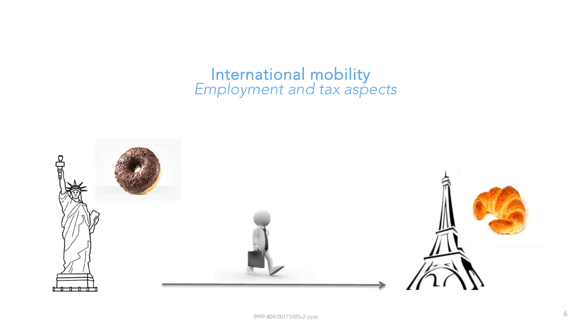# *Employment and tax aspects* International mobility

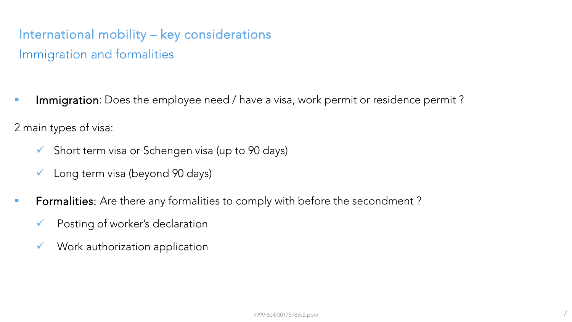# International mobility – key considerations Immigration and formalities

**Immigration**: Does the employee need / have a visa, work permit or residence permit?

2 main types of visa:

- $\checkmark$  Short term visa or Schengen visa (up to 90 days)
- $\checkmark$  Long term visa (beyond 90 days)
- **Formalities:** Are there any formalities to comply with before the secondment?
	- Posting of worker's declaration
	- $\checkmark$  Work authorization application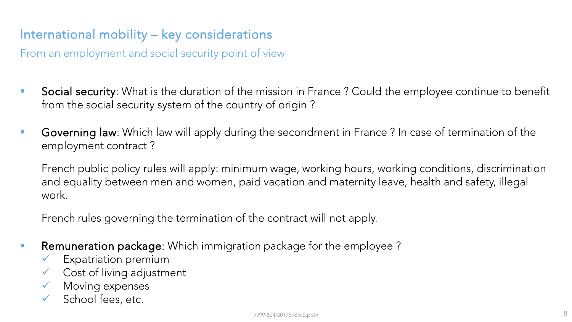# International mobility – key considerations

From an employment and social security point of view

- **Social security**: What is the duration of the mission in France ? Could the employee continue to benefit from the social security system of the country of origin ?
- Governing law: Which law will apply during the secondment in France ? In case of termination of the employment contract ?

French public policy rules will apply: minimum wage, working hours, working conditions, discrimination and equality between men and women, paid vacation and maternity leave, health and safety, illegal work.

French rules governing the termination of the contract will not apply.

- **Remuneration package:** Which immigration package for the employee?
	- Expatriation premium
	- $\checkmark$  Cost of living adjustment
	- $\checkmark$  Moving expenses
	- School fees, etc.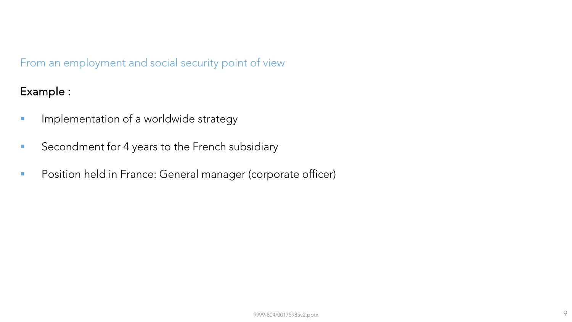#### From an employment and social security point of view

Example :

- **IMPLE 14** Implementation of a worldwide strategy
- Secondment for 4 years to the French subsidiary
- **Position held in France: General manager (corporate officer)**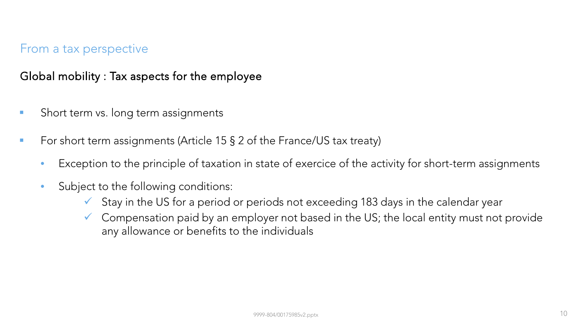#### Global mobility : Tax aspects for the employee

- **Short term vs. long term assignments**
- For short term assignments (Article 15  $\S$  2 of the France/US tax treaty)
	- Exception to the principle of taxation in state of exercice of the activity for short-term assignments
	- Subject to the following conditions:
		- $\checkmark$  Stay in the US for a period or periods not exceeding 183 days in the calendar year
		- $\checkmark$  Compensation paid by an employer not based in the US; the local entity must not provide any allowance or benefits to the individuals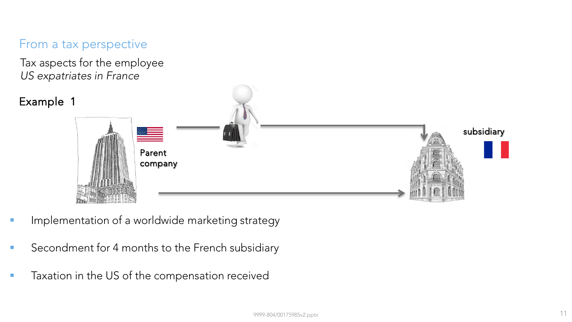Tax aspects for the employee *US expatriates in France*



- Implementation of a worldwide marketing strategy
- Secondment for 4 months to the French subsidiary
- **Taxation in the US of the compensation received**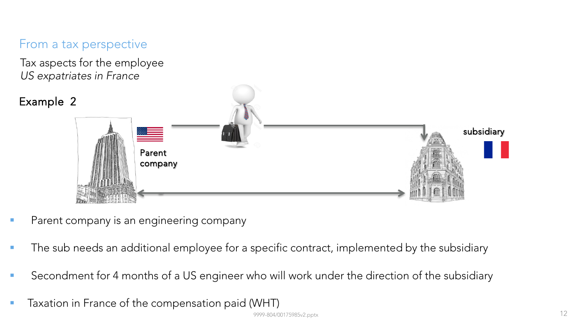Tax aspects for the employee *US expatriates in France*



- Parent company is an engineering company
- The sub needs an additional employee for a specific contract, implemented by the subsidiary
- Secondment for 4 months of a US engineer who will work under the direction of the subsidiary
- **Taxation in France of the compensation paid (WHT)**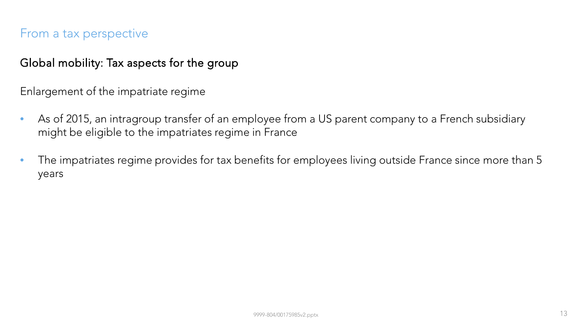#### Global mobility: Tax aspects for the group

Enlargement of the impatriate regime

- As of 2015, an intragroup transfer of an employee from a US parent company to a French subsidiary might be eligible to the impatriates regime in France
- The impatriates regime provides for tax benefits for employees living outside France since more than 5 years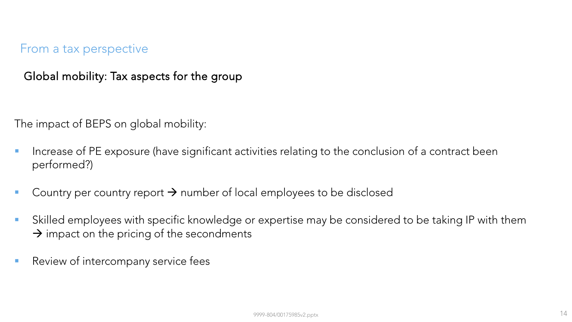Global mobility: Tax aspects for the group

The impact of BEPS on global mobility:

- Increase of PE exposure (have significant activities relating to the conclusion of a contract been performed?)
- Country per country report  $\rightarrow$  number of local employees to be disclosed
- Skilled employees with specific knowledge or expertise may be considered to be taking IP with them  $\rightarrow$  impact on the pricing of the secondments
- Review of intercompany service fees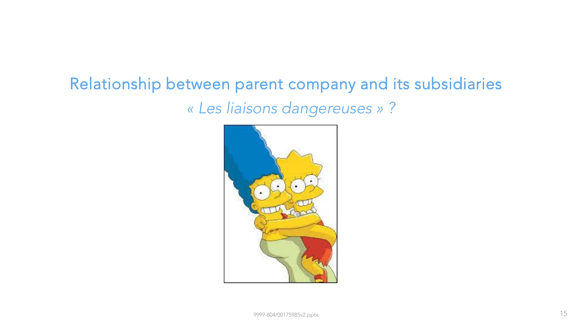# *« Les liaisons dangereuses » ?* Relationship between parent company and its subsidiaries

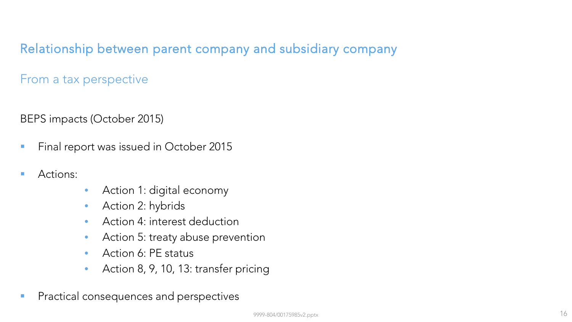Relationship between parent company and subsidiary company

From a tax perspective

BEPS impacts (October 2015)

- **Final report was issued in October 2015**
- **Actions:**
- Action 1: digital economy
- Action 2: hybrids
- Action 4: interest deduction
- Action 5: treaty abuse prevention
- Action 6: PE status
- Action 8, 9, 10, 13: transfer pricing
- **Practical consequences and perspectives**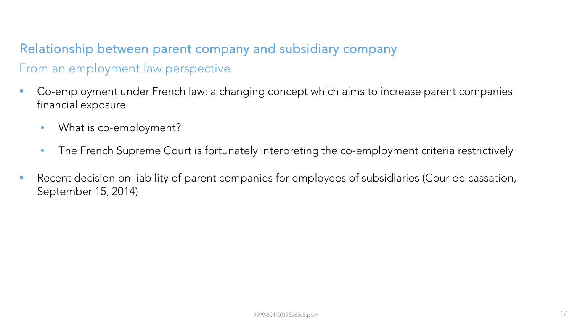# Relationship between parent company and subsidiary company From an employment law perspective

- Co-employment under French law: a changing concept which aims to increase parent companies' financial exposure
	- What is co-employment?
	- The French Supreme Court is fortunately interpreting the co-employment criteria restrictively
- **Recent decision on liability of parent companies for employees of subsidiaries (Cour de cassation,** September 15, 2014)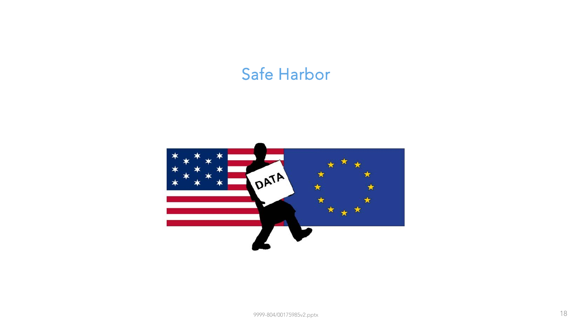# Safe Harbor

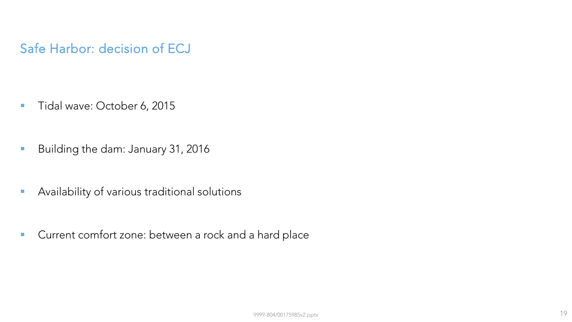### Safe Harbor: decision of ECJ

- Tidal wave: October 6, 2015
- Building the dam: January 31, 2016
- **Availability of various traditional solutions**
- **Current comfort zone: between a rock and a hard place**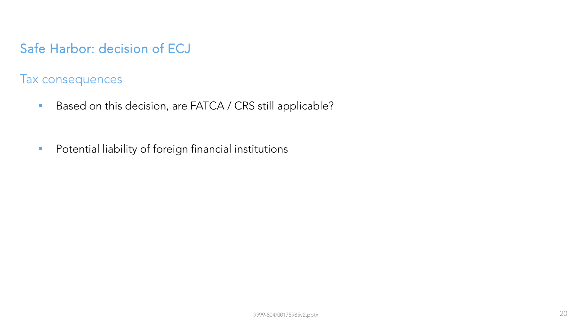# Safe Harbor: decision of ECJ

Tax consequences

- Based on this decision, are FATCA / CRS still applicable?
- **Potential liability of foreign financial institutions**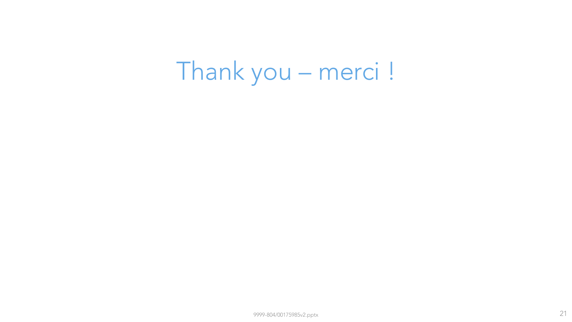# Thank you – merci !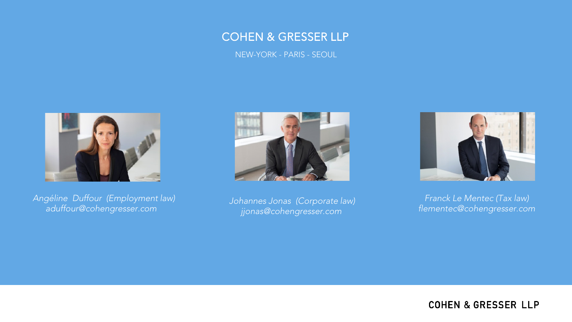#### COHEN & GRESSER LLP

NEW-YORK - PARIS - SEOUL



*Angéline Duffour (Employment law) aduffour@cohengresser.com* 



*Johannes Jonas (Corporate law) jjonas@cohengresser.com* 



*Franck Le Mentec (Tax law) flementec@cohengresser.com*

**COHEN & GRESSER LLP**